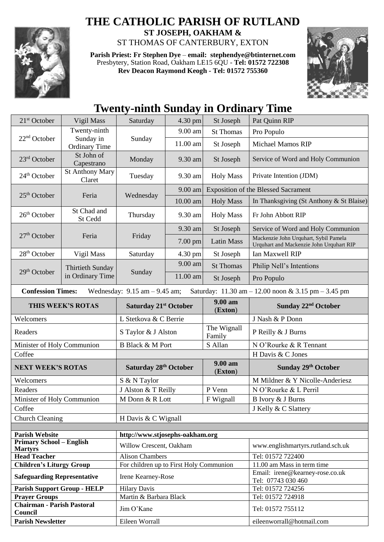

## **THE CATHOLIC PARISH OF RUTLAND**

**ST JOSEPH, OAKHAM &**  ST THOMAS OF CANTERBURY, EXTON

**Parish Priest: Fr Stephen Dye** – **[email: stephendye@btinternet.com](mailto:email:%20%20stephendye@btinternet.com)** Presbytery, Station Road, Oakham LE15 6QU - **Tel: 01572 722308 Rev Deacon Raymond Keogh - Tel: 01572 755360**



## **Twenty-ninth Sunday in Ordinary Time**

| 21 <sup>st</sup> October                                                                                             | Vigil Mass                                  | Saturday                                | 4.30 pm         | St Joseph                                  | Pat Quinn RIP                                                                     |  |
|----------------------------------------------------------------------------------------------------------------------|---------------------------------------------|-----------------------------------------|-----------------|--------------------------------------------|-----------------------------------------------------------------------------------|--|
| $22nd$ October                                                                                                       | Twenty-ninth                                |                                         | 9.00 am         | <b>St Thomas</b>                           | Pro Populo                                                                        |  |
|                                                                                                                      | Sunday in<br><b>Ordinary Time</b>           | Sunday                                  | $11.00$ am $\,$ | St Joseph                                  | <b>Michael Mamos RIP</b>                                                          |  |
| 23rd October                                                                                                         | St John of<br>Capestrano                    | Monday                                  | 9.30 am         | St Joseph                                  | Service of Word and Holy Communion                                                |  |
| 24 <sup>th</sup> October                                                                                             | <b>St Anthony Mary</b><br>Claret            | Tuesday                                 | 9.30 am         | <b>Holy Mass</b>                           | Private Intention (JDM)                                                           |  |
| $25th$ October                                                                                                       | Feria                                       |                                         | 9.00 am         | <b>Exposition of the Blessed Sacrament</b> |                                                                                   |  |
|                                                                                                                      |                                             | Wednesday                               | 10.00 am        | <b>Holy Mass</b>                           | In Thanksgiving (St Anthony & St Blaise)                                          |  |
| $26th$ October                                                                                                       | St Chad and<br>St Cedd                      | Thursday                                | 9.30 am         | <b>Holy Mass</b>                           | Fr John Abbott RIP                                                                |  |
|                                                                                                                      | Feria                                       | Friday                                  | 9.30 am         | St Joseph                                  | Service of Word and Holy Communion                                                |  |
| $27th$ October                                                                                                       |                                             |                                         | 7.00 pm         | <b>Latin Mass</b>                          | Mackenzie John Urquhart, Sybil Pamela<br>Urquhart and Mackenzie John Urquhart RIP |  |
| 28 <sup>th</sup> October                                                                                             | Vigil Mass                                  | Saturday                                | 4.30 pm         | St Joseph                                  | Ian Maxwell RIP                                                                   |  |
| $29th$ October                                                                                                       | <b>Thirtieth Sunday</b><br>in Ordinary Time | Sunday                                  | 9.00 am         | <b>St Thomas</b>                           | Philip Nell's Intentions                                                          |  |
|                                                                                                                      |                                             |                                         | 11.00 am        | St Joseph                                  | Pro Populo                                                                        |  |
| <b>Confession Times:</b><br>Wednesday: $9.15$ am $- 9.45$ am;<br>Saturday: 11.30 am - 12.00 noon & 3.15 pm - 3.45 pm |                                             |                                         |                 |                                            |                                                                                   |  |
| THIS WEEK'S ROTAS                                                                                                    |                                             | Saturday 21st October                   |                 | 9.00 am<br>(Exton)                         | Sunday 22 <sup>nd</sup> October                                                   |  |
| Welcomers                                                                                                            |                                             | L Stetkova & C Berrie                   |                 |                                            | J Nash & P Donn                                                                   |  |
| Readers                                                                                                              |                                             | S Taylor & J Alston                     |                 | The Wignall<br>Family                      | P Reilly & J Burns                                                                |  |
| Minister of Holy Communion                                                                                           |                                             | <b>B Black &amp; M Port</b>             |                 | S Allan                                    | N O'Rourke & R Tennant                                                            |  |
| Coffee                                                                                                               |                                             |                                         |                 |                                            | H Davis & C Jones                                                                 |  |
| <b>NEXT WEEK'S ROTAS</b>                                                                                             |                                             | Saturday 28 <sup>th</sup> October       |                 | 9.00 am<br>(Exton)                         | Sunday 29th October                                                               |  |
| Welcomers                                                                                                            |                                             | S & N Taylor                            |                 |                                            | M Mildner & Y Nicolle-Anderiesz                                                   |  |
| Readers                                                                                                              |                                             | J Alston & T Reilly                     |                 | P Venn                                     | N O'Rourke & L Perril                                                             |  |
| Minister of Holy Communion                                                                                           |                                             | M Donn & R Lott                         |                 | F Wignall                                  | B Ivory & J Burns                                                                 |  |
| Coffee                                                                                                               |                                             |                                         |                 |                                            | J Kelly & C Slattery                                                              |  |
| <b>Church Cleaning</b>                                                                                               |                                             | H Davis & C Wignall                     |                 |                                            |                                                                                   |  |
|                                                                                                                      |                                             |                                         |                 |                                            |                                                                                   |  |
| <b>Parish Website</b><br><b>Primary School - English</b>                                                             |                                             | http://www.stjosephs-oakham.org         |                 |                                            |                                                                                   |  |
| <b>Martyrs</b>                                                                                                       |                                             | Willow Crescent, Oakham                 |                 |                                            | www.englishmartyrs.rutland.sch.uk                                                 |  |
| <b>Head Teacher</b>                                                                                                  |                                             | <b>Alison Chambers</b>                  |                 |                                            | Tel: 01572 722400                                                                 |  |
| <b>Children's Liturgy Group</b>                                                                                      |                                             | For children up to First Holy Communion |                 |                                            | 11.00 am Mass in term time<br>Email: irene@kearney-rose.co.uk                     |  |
| <b>Safeguarding Representative</b>                                                                                   |                                             | Irene Kearney-Rose                      |                 |                                            | Tel: 07743 030 460                                                                |  |
| <b>Parish Support Group - HELP</b>                                                                                   |                                             | <b>Hilary Davis</b>                     |                 |                                            | Tel: 01572 724256                                                                 |  |
| <b>Prayer Groups</b>                                                                                                 |                                             | Martin & Barbara Black                  |                 |                                            | Tel: 01572 724918                                                                 |  |
| <b>Chairman - Parish Pastoral</b><br>Council                                                                         |                                             | Jim O'Kane                              |                 |                                            | Tel: 01572 755112                                                                 |  |
| <b>Parish Newsletter</b>                                                                                             |                                             | Eileen Worrall                          |                 |                                            | eileenworrall@hotmail.com                                                         |  |